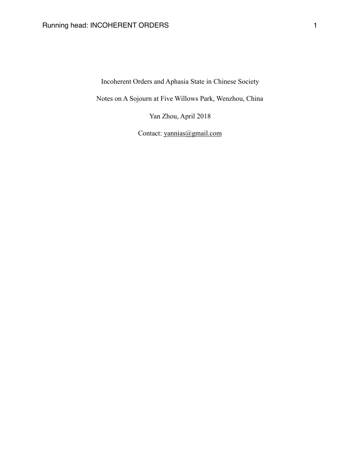Incoherent Orders and Aphasia State in Chinese Society

Notes on A Sojourn at Five Willows Park, Wenzhou, China

Yan Zhou, April 2018

Contact: [yannias@gmail.com](mailto:yannias@gmail.com)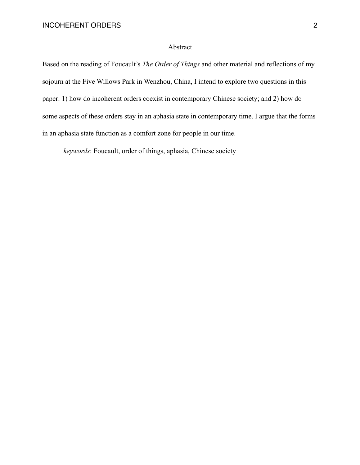## Abstract

Based on the reading of Foucault's *The Order of Things* and other material and reflections of my sojourn at the Five Willows Park in Wenzhou, China, I intend to explore two questions in this paper: 1) how do incoherent orders coexist in contemporary Chinese society; and 2) how do some aspects of these orders stay in an aphasia state in contemporary time. I argue that the forms in an aphasia state function as a comfort zone for people in our time.

*keywords*: Foucault, order of things, aphasia, Chinese society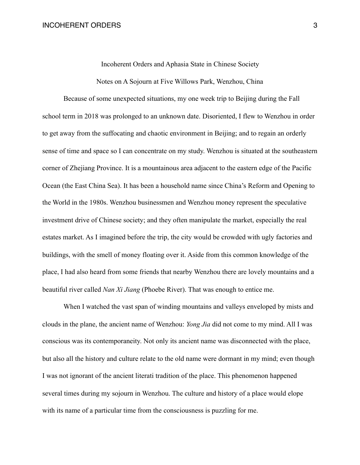## Incoherent Orders and Aphasia State in Chinese Society

# Notes on A Sojourn at Five Willows Park, Wenzhou, China

 Because of some unexpected situations, my one week trip to Beijing during the Fall school term in 2018 was prolonged to an unknown date. Disoriented, I flew to Wenzhou in order to get away from the suffocating and chaotic environment in Beijing; and to regain an orderly sense of time and space so I can concentrate on my study. Wenzhou is situated at the southeastern corner of Zhejiang Province. It is a mountainous area adjacent to the eastern edge of the Pacific Ocean (the East China Sea). It has been a household name since China's Reform and Opening to the World in the 1980s. Wenzhou businessmen and Wenzhou money represent the speculative investment drive of Chinese society; and they often manipulate the market, especially the real estates market. As I imagined before the trip, the city would be crowded with ugly factories and buildings, with the smell of money floating over it. Aside from this common knowledge of the place, I had also heard from some friends that nearby Wenzhou there are lovely mountains and a beautiful river called *Nan Xi Jiang* (Phoebe River). That was enough to entice me.

 When I watched the vast span of winding mountains and valleys enveloped by mists and clouds in the plane, the ancient name of Wenzhou: *Yong Jia* did not come to my mind. All I was conscious was its contemporaneity. Not only its ancient name was disconnected with the place, but also all the history and culture relate to the old name were dormant in my mind; even though I was not ignorant of the ancient literati tradition of the place. This phenomenon happened several times during my sojourn in Wenzhou. The culture and history of a place would elope with its name of a particular time from the consciousness is puzzling for me.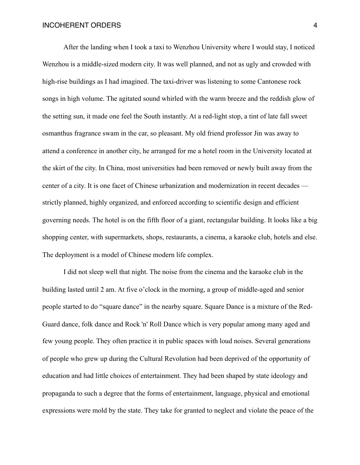After the landing when I took a taxi to Wenzhou University where I would stay, I noticed Wenzhou is a middle-sized modern city. It was well planned, and not as ugly and crowded with high-rise buildings as I had imagined. The taxi-driver was listening to some Cantonese rock songs in high volume. The agitated sound whirled with the warm breeze and the reddish glow of the setting sun, it made one feel the South instantly. At a red-light stop, a tint of late fall sweet osmanthus fragrance swam in the car, so pleasant. My old friend professor Jin was away to attend a conference in another city, he arranged for me a hotel room in the University located at the skirt of the city. In China, most universities had been removed or newly built away from the center of a city. It is one facet of Chinese urbanization and modernization in recent decades strictly planned, highly organized, and enforced according to scientific design and efficient governing needs. The hotel is on the fifth floor of a giant, rectangular building. It looks like a big shopping center, with supermarkets, shops, restaurants, a cinema, a karaoke club, hotels and else. The deployment is a model of Chinese modern life complex.

 I did not sleep well that night. The noise from the cinema and the karaoke club in the building lasted until 2 am. At five o'clock in the morning, a group of middle-aged and senior people started to do "square dance" in the nearby square. Square Dance is a mixture of the Red-Guard dance, folk dance and Rock 'n' Roll Dance which is very popular among many aged and few young people. They often practice it in public spaces with loud noises. Several generations of people who grew up during the Cultural Revolution had been deprived of the opportunity of education and had little choices of entertainment. They had been shaped by state ideology and propaganda to such a degree that the forms of entertainment, language, physical and emotional expressions were mold by the state. They take for granted to neglect and violate the peace of the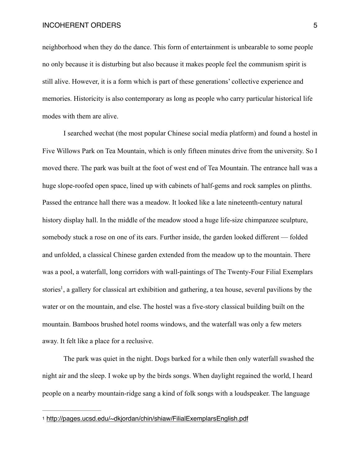neighborhood when they do the dance. This form of entertainment is unbearable to some people no only because it is disturbing but also because it makes people feel the communism spirit is still alive. However, it is a form which is part of these generations' collective experience and memories. Historicity is also contemporary as long as people who carry particular historical life modes with them are alive.

 I searched wechat (the most popular Chinese social media platform) and found a hostel in Five Willows Park on Tea Mountain, which is only fifteen minutes drive from the university. So I moved there. The park was built at the foot of west end of Tea Mountain. The entrance hall was a huge slope-roofed open space, lined up with cabinets of half-gems and rock samples on plinths. Passed the entrance hall there was a meadow. It looked like a late nineteenth-century natural history display hall. In the middle of the meadow stood a huge life-size chimpanzee sculpture, somebody stuck a rose on one of its ears. Further inside, the garden looked different — folded and unfolded, a classical Chinese garden extended from the meadow up to the mountain. There was a pool, a waterfall, long corridors with wall-paintings of The Twenty-Four Filial Exemplars stories<sup>[1](#page-4-0)</sup>, a gallery for classical art exhibition and gathering, a tea house, several pavilions by the water or on the mountain, and else. The hostel was a five-story classical building built on the mountain. Bamboos brushed hotel rooms windows, and the waterfall was only a few meters away. It felt like a place for a reclusive.

<span id="page-4-1"></span> The park was quiet in the night. Dogs barked for a while then only waterfall swashed the night air and the sleep. I woke up by the birds songs. When daylight regained the world, I heard people on a nearby mountain-ridge sang a kind of folk songs with a loudspeaker. The language

<span id="page-4-0"></span>[<sup>1</sup>](#page-4-1) <http://pages.ucsd.edu/~dkjordan/chin/shiaw/FilialExemplarsEnglish.pdf>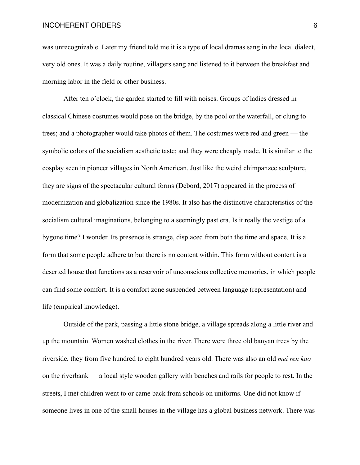was unrecognizable. Later my friend told me it is a type of local dramas sang in the local dialect, very old ones. It was a daily routine, villagers sang and listened to it between the breakfast and morning labor in the field or other business.

 After ten o'clock, the garden started to fill with noises. Groups of ladies dressed in classical Chinese costumes would pose on the bridge, by the pool or the waterfall, or clung to trees; and a photographer would take photos of them. The costumes were red and green — the symbolic colors of the socialism aesthetic taste; and they were cheaply made. It is similar to the cosplay seen in pioneer villages in North American. Just like the weird chimpanzee sculpture, they are signs of the spectacular cultural forms (Debord, 2017) appeared in the process of modernization and globalization since the 1980s. It also has the distinctive characteristics of the socialism cultural imaginations, belonging to a seemingly past era. Is it really the vestige of a bygone time? I wonder. Its presence is strange, displaced from both the time and space. It is a form that some people adhere to but there is no content within. This form without content is a deserted house that functions as a reservoir of unconscious collective memories, in which people can find some comfort. It is a comfort zone suspended between language (representation) and life (empirical knowledge).

 Outside of the park, passing a little stone bridge, a village spreads along a little river and up the mountain. Women washed clothes in the river. There were three old banyan trees by the riverside, they from five hundred to eight hundred years old. There was also an old *mei ren kao* on the riverbank — a local style wooden gallery with benches and rails for people to rest. In the streets, I met children went to or came back from schools on uniforms. One did not know if someone lives in one of the small houses in the village has a global business network. There was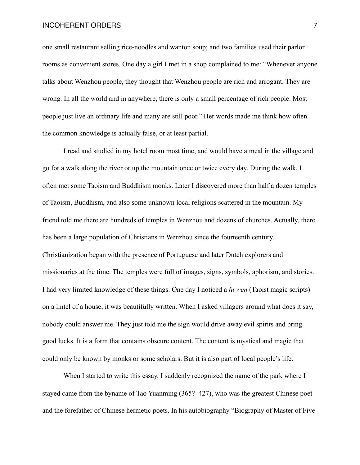one small restaurant selling rice-noodles and wanton soup; and two families used their parlor rooms as convenient stores. One day a girl I met in a shop complained to me: "Whenever anyone talks about Wenzhou people, they thought that Wenzhou people are rich and arrogant. They are wrong. In all the world and in anywhere, there is only a small percentage of rich people. Most people just live an ordinary life and many are still poor." Her words made me think how often the common knowledge is actually false, or at least partial.

 I read and studied in my hotel room most time, and would have a meal in the village and go for a walk along the river or up the mountain once or twice every day. During the walk, I often met some Taoism and Buddhism monks. Later I discovered more than half a dozen temples of Taoism, Buddhism, and also some unknown local religions scattered in the mountain. My friend told me there are hundreds of temples in Wenzhou and dozens of churches. Actually, there has been a large population of Christians in Wenzhou since the fourteenth century. Christianization began with the presence of Portuguese and later Dutch explorers and missionaries at the time. The temples were full of images, signs, symbols, aphorism, and stories. I had very limited knowledge of these things. One day I noticed a *fu wen* (Taoist magic scripts) on a lintel of a house, it was beautifully written. When I asked villagers around what does it say, nobody could answer me. They just told me the sign would drive away evil spirits and bring good lucks. It is a form that contains obscure content. The content is mystical and magic that could only be known by monks or some scholars. But it is also part of local people's life.

When I started to write this essay, I suddenly recognized the name of the park where I stayed came from the byname of Tao Yuanming (365?–427), who was the greatest Chinese poet and the forefather of Chinese hermetic poets. In his autobiography "Biography of Master of Five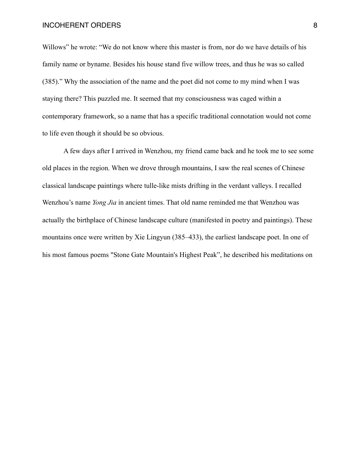Willows" he wrote: "We do not know where this master is from, nor do we have details of his family name or byname. Besides his house stand five willow trees, and thus he was so called (385)." Why the association of the name and the poet did not come to my mind when I was staying there? This puzzled me. It seemed that my consciousness was caged within a contemporary framework, so a name that has a specific traditional connotation would not come to life even though it should be so obvious.

 A few days after I arrived in Wenzhou, my friend came back and he took me to see some old places in the region. When we drove through mountains, I saw the real scenes of Chinese classical landscape paintings where tulle-like mists drifting in the verdant valleys. I recalled Wenzhou's name *Yong Jia* in ancient times. That old name reminded me that Wenzhou was actually the birthplace of Chinese landscape culture (manifested in poetry and paintings). These mountains once were written by Xie Lingyun (385–433), the earliest landscape poet. In one of his most famous poems "Stone Gate Mountain's Highest Peak", he described his meditations on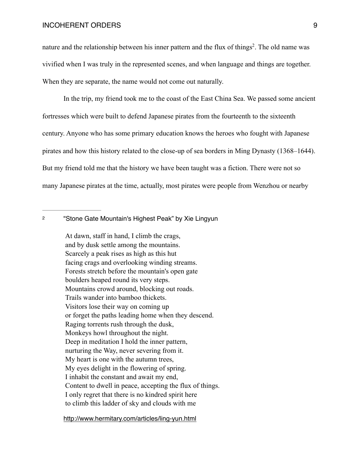<span id="page-8-1"></span>nature and the relationship between his inner pattern and the flux of things<sup>[2](#page-8-0)</sup>. The old name was vivified when I was truly in the represented scenes, and when language and things are together. When they are separate, the name would not come out naturally.

 In the trip, my friend took me to the coast of the East China Sea. We passed some ancient fortresses which were built to defend Japanese pirates from the fourteenth to the sixteenth century. Anyone who has some primary education knows the heroes who fought with Japanese pirates and how this history related to the close-up of sea borders in Ming Dynasty (1368–1644). But my friend told me that the history we have been taught was a fiction. There were not so many Japanese pirates at the time, actually, most pirates were people from Wenzhou or nearby

<span id="page-8-0"></span>[2](#page-8-1) "Stone Gate Mountain's Highest Peak" by Xie Lingyun

At dawn, staff in hand, I climb the crags, and by dusk settle among the mountains. Scarcely a peak rises as high as this hut facing crags and overlooking winding streams. Forests stretch before the mountain's open gate boulders heaped round its very steps. Mountains crowd around, blocking out roads. Trails wander into bamboo thickets. Visitors lose their way on coming up or forget the paths leading home when they descend. Raging torrents rush through the dusk, Monkeys howl throughout the night. Deep in meditation I hold the inner pattern, nurturing the Way, never severing from it. My heart is one with the autumn trees, My eyes delight in the flowering of spring. I inhabit the constant and await my end, Content to dwell in peace, accepting the flux of things. I only regret that there is no kindred spirit here to climb this ladder of sky and clouds with me

<http://www.hermitary.com/articles/ling-yun.html>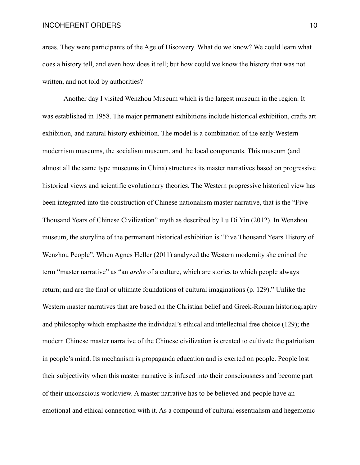areas. They were participants of the Age of Discovery. What do we know? We could learn what does a history tell, and even how does it tell; but how could we know the history that was not written, and not told by authorities?

 Another day I visited Wenzhou Museum which is the largest museum in the region. It was established in 1958. The major permanent exhibitions include historical exhibition, crafts art exhibition, and natural history exhibition. The model is a combination of the early Western modernism museums, the socialism museum, and the local components. This museum (and almost all the same type museums in China) structures its master narratives based on progressive historical views and scientific evolutionary theories. The Western progressive historical view has been integrated into the construction of Chinese nationalism master narrative, that is the "Five Thousand Years of Chinese Civilization" myth as described by Lu Di Yin (2012). In Wenzhou museum, the storyline of the permanent historical exhibition is "Five Thousand Years History of Wenzhou People". When Agnes Heller (2011) analyzed the Western modernity she coined the term "master narrative" as "an *arche* of a culture, which are stories to which people always return; and are the final or ultimate foundations of cultural imaginations (p. 129)." Unlike the Western master narratives that are based on the Christian belief and Greek-Roman historiography and philosophy which emphasize the individual's ethical and intellectual free choice (129); the modern Chinese master narrative of the Chinese civilization is created to cultivate the patriotism in people's mind. Its mechanism is propaganda education and is exerted on people. People lost their subjectivity when this master narrative is infused into their consciousness and become part of their unconscious worldview. A master narrative has to be believed and people have an emotional and ethical connection with it. As a compound of cultural essentialism and hegemonic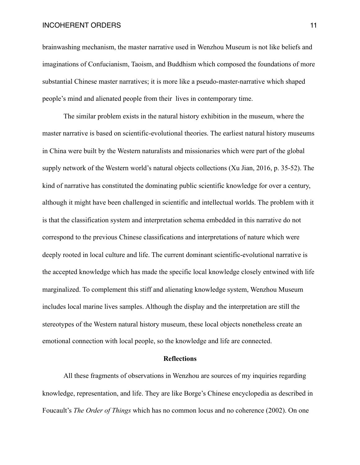brainwashing mechanism, the master narrative used in Wenzhou Museum is not like beliefs and imaginations of Confucianism, Taoism, and Buddhism which composed the foundations of more substantial Chinese master narratives; it is more like a pseudo-master-narrative which shaped people's mind and alienated people from their lives in contemporary time.

 The similar problem exists in the natural history exhibition in the museum, where the master narrative is based on scientific-evolutional theories. The earliest natural history museums in China were built by the Western naturalists and missionaries which were part of the global supply network of the Western world's natural objects collections (Xu Jian, 2016, p. 35-52). The kind of narrative has constituted the dominating public scientific knowledge for over a century, although it might have been challenged in scientific and intellectual worlds. The problem with it is that the classification system and interpretation schema embedded in this narrative do not correspond to the previous Chinese classifications and interpretations of nature which were deeply rooted in local culture and life. The current dominant scientific-evolutional narrative is the accepted knowledge which has made the specific local knowledge closely entwined with life marginalized. To complement this stiff and alienating knowledge system, Wenzhou Museum includes local marine lives samples. Although the display and the interpretation are still the stereotypes of the Western natural history museum, these local objects nonetheless create an emotional connection with local people, so the knowledge and life are connected.

## **Reflections**

 All these fragments of observations in Wenzhou are sources of my inquiries regarding knowledge, representation, and life. They are like Borge's Chinese encyclopedia as described in Foucault's *The Order of Things* which has no common locus and no coherence (2002). On one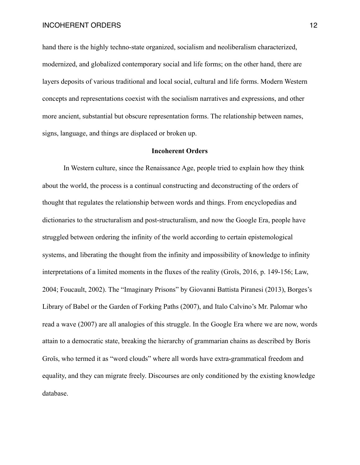hand there is the highly techno-state organized, socialism and neoliberalism characterized, modernized, and globalized contemporary social and life forms; on the other hand, there are layers deposits of various traditional and local social, cultural and life forms. Modern Western concepts and representations coexist with the socialism narratives and expressions, and other more ancient, substantial but obscure representation forms. The relationship between names, signs, language, and things are displaced or broken up.

### **Incoherent Orders**

 In Western culture, since the Renaissance Age, people tried to explain how they think about the world, the process is a continual constructing and deconstructing of the orders of thought that regulates the relationship between words and things. From encyclopedias and dictionaries to the structuralism and post-structuralism, and now the Google Era, people have struggled between ordering the infinity of the world according to certain epistemological systems, and liberating the thought from the infinity and impossibility of knowledge to infinity interpretations of a limited moments in the fluxes of the reality (Grois, 2016, p. 149-156; Law, 2004; Foucault, 2002). The "Imaginary Prisons" by Giovanni Battista Piranesi (2013), Borges's Library of Babel or the Garden of Forking Paths (2007), and Italo Calvino's Mr. Palomar who read a wave (2007) are all analogies of this struggle. In the Google Era where we are now, words attain to a democratic state, breaking the hierarchy of grammarian chains as described by Boris Groĭs, who termed it as "word clouds" where all words have extra-grammatical freedom and equality, and they can migrate freely. Discourses are only conditioned by the existing knowledge database.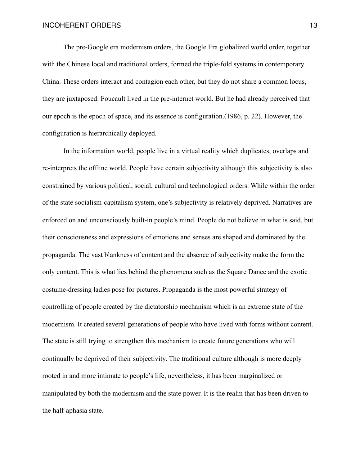The pre-Google era modernism orders, the Google Era globalized world order, together with the Chinese local and traditional orders, formed the triple-fold systems in contemporary China. These orders interact and contagion each other, but they do not share a common locus, they are juxtaposed. Foucault lived in the pre-internet world. But he had already perceived that our epoch is the epoch of space, and its essence is configuration.(1986, p. 22). However, the configuration is hierarchically deployed.

 In the information world, people live in a virtual reality which duplicates, overlaps and re-interprets the offline world. People have certain subjectivity although this subjectivity is also constrained by various political, social, cultural and technological orders. While within the order of the state socialism-capitalism system, one's subjectivity is relatively deprived. Narratives are enforced on and unconsciously built-in people's mind. People do not believe in what is said, but their consciousness and expressions of emotions and senses are shaped and dominated by the propaganda. The vast blankness of content and the absence of subjectivity make the form the only content. This is what lies behind the phenomena such as the Square Dance and the exotic costume-dressing ladies pose for pictures. Propaganda is the most powerful strategy of controlling of people created by the dictatorship mechanism which is an extreme state of the modernism. It created several generations of people who have lived with forms without content. The state is still trying to strengthen this mechanism to create future generations who will continually be deprived of their subjectivity. The traditional culture although is more deeply rooted in and more intimate to people's life, nevertheless, it has been marginalized or manipulated by both the modernism and the state power. It is the realm that has been driven to the half-aphasia state.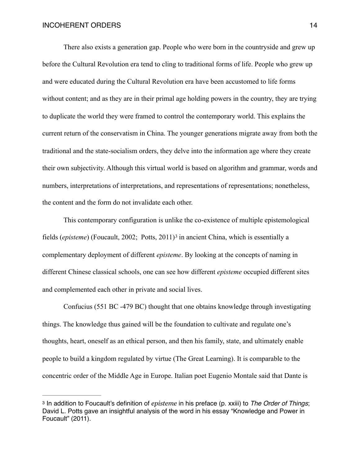There also exists a generation gap. People who were born in the countryside and grew up before the Cultural Revolution era tend to cling to traditional forms of life. People who grew up and were educated during the Cultural Revolution era have been accustomed to life forms without content; and as they are in their primal age holding powers in the country, they are trying to duplicate the world they were framed to control the contemporary world. This explains the current return of the conservatism in China. The younger generations migrate away from both the traditional and the state-socialism orders, they delve into the information age where they create their own subjectivity. Although this virtual world is based on algorithm and grammar, words and numbers, interpretations of interpretations, and representations of representations; nonetheless, the content and the form do not invalidate each other.

<span id="page-13-1"></span> This contemporary configuration is unlike the co-existence of multiple epistemological fields(*episteme*) (Foucault, 2002; Potts, 2011)<sup>[3](#page-13-0)</sup> in ancient China, which is essentially a complementary deployment of different *episteme*. By looking at the concepts of naming in different Chinese classical schools, one can see how different *episteme* occupied different sites and complemented each other in private and social lives.

 Confucius (551 BC -479 BC) thought that one obtains knowledge through investigating things. The knowledge thus gained will be the foundation to cultivate and regulate one's thoughts, heart, oneself as an ethical person, and then his family, state, and ultimately enable people to build a kingdom regulated by virtue (The Great Learning). It is comparable to the concentric order of the Middle Age in Europe. Italian poet Eugenio Montale said that Dante is

<span id="page-13-0"></span>[<sup>3</sup>](#page-13-1) In addition to Foucault's definition of *episteme* in his preface (p. xxiii) to *The Order of Things*; David L. Potts gave an insightful analysis of the word in his essay "Knowledge and Power in Foucault" (2011).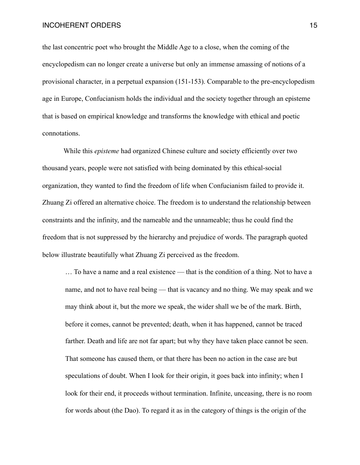the last concentric poet who brought the Middle Age to a close, when the coming of the encyclopedism can no longer create a universe but only an immense amassing of notions of a provisional character, in a perpetual expansion (151-153). Comparable to the pre-encyclopedism age in Europe, Confucianism holds the individual and the society together through an episteme that is based on empirical knowledge and transforms the knowledge with ethical and poetic connotations.

 While this *episteme* had organized Chinese culture and society efficiently over two thousand years, people were not satisfied with being dominated by this ethical-social organization, they wanted to find the freedom of life when Confucianism failed to provide it. Zhuang Zi offered an alternative choice. The freedom is to understand the relationship between constraints and the infinity, and the nameable and the unnameable; thus he could find the freedom that is not suppressed by the hierarchy and prejudice of words. The paragraph quoted below illustrate beautifully what Zhuang Zi perceived as the freedom.

… To have a name and a real existence — that is the condition of a thing. Not to have a name, and not to have real being — that is vacancy and no thing. We may speak and we may think about it, but the more we speak, the wider shall we be of the mark. Birth, before it comes, cannot be prevented; death, when it has happened, cannot be traced farther. Death and life are not far apart; but why they have taken place cannot be seen. That someone has caused them, or that there has been no action in the case are but speculations of doubt. When I look for their origin, it goes back into infinity; when I look for their end, it proceeds without termination. Infinite, unceasing, there is no room for words about (the Dao). To regard it as in the category of things is the origin of the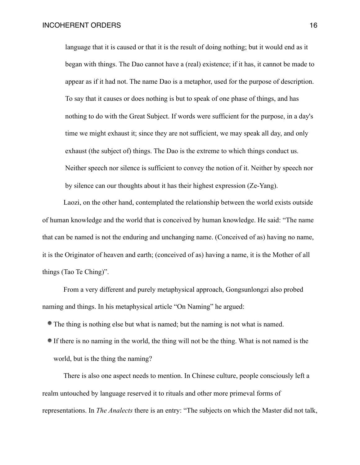language that it is caused or that it is the result of doing nothing; but it would end as it began with things. The Dao cannot have a (real) existence; if it has, it cannot be made to appear as if it had not. The name Dao is a metaphor, used for the purpose of description. To say that it causes or does nothing is but to speak of one phase of things, and has nothing to do with the Great Subject. If words were sufficient for the purpose, in a day's time we might exhaust it; since they are not sufficient, we may speak all day, and only exhaust (the subject of) things. The Dao is the extreme to which things conduct us. Neither speech nor silence is sufficient to convey the notion of it. Neither by speech nor by silence can our thoughts about it has their highest expression (Ze-Yang).

 Laozi, on the other hand, contemplated the relationship between the world exists outside of human knowledge and the world that is conceived by human knowledge. He said: "The name that can be named is not the enduring and unchanging name. (Conceived of as) having no name, it is the Originator of heaven and earth; (conceived of as) having a name, it is the Mother of all things (Tao Te Ching)".

 From a very different and purely metaphysical approach, Gongsunlongzi also probed naming and things. In his metaphysical article "On Naming" he argued:

- The thing is nothing else but what is named; but the naming is not what is named.
- If there is no naming in the world, the thing will not be the thing. What is not named is the world, but is the thing the naming?

 There is also one aspect needs to mention. In Chinese culture, people consciously left a realm untouched by language reserved it to rituals and other more primeval forms of representations. In *The Analects* there is an entry: "The subjects on which the Master did not talk,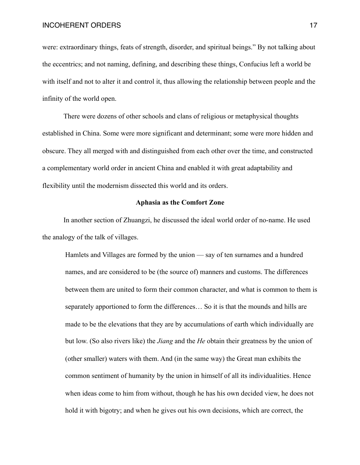were: extraordinary things, feats of strength, disorder, and spiritual beings." By not talking about the eccentrics; and not naming, defining, and describing these things, Confucius left a world be with itself and not to alter it and control it, thus allowing the relationship between people and the infinity of the world open.

 There were dozens of other schools and clans of religious or metaphysical thoughts established in China. Some were more significant and determinant; some were more hidden and obscure. They all merged with and distinguished from each other over the time, and constructed a complementary world order in ancient China and enabled it with great adaptability and flexibility until the modernism dissected this world and its orders.

### **Aphasia as the Comfort Zone**

 In another section of Zhuangzi, he discussed the ideal world order of no-name. He used the analogy of the talk of villages.

Hamlets and Villages are formed by the union — say of ten surnames and a hundred names, and are considered to be (the source of) manners and customs. The differences between them are united to form their common character, and what is common to them is separately apportioned to form the differences… So it is that the mounds and hills are made to be the elevations that they are by accumulations of earth which individually are but low. (So also rivers like) the *Jiang* and the *He* obtain their greatness by the union of (other smaller) waters with them. And (in the same way) the Great man exhibits the common sentiment of humanity by the union in himself of all its individualities. Hence when ideas come to him from without, though he has his own decided view, he does not hold it with bigotry; and when he gives out his own decisions, which are correct, the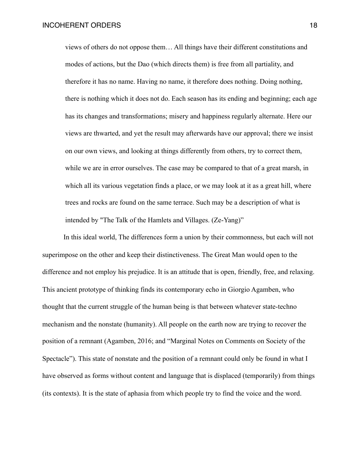views of others do not oppose them… All things have their different constitutions and modes of actions, but the Dao (which directs them) is free from all partiality, and therefore it has no name. Having no name, it therefore does nothing. Doing nothing, there is nothing which it does not do. Each season has its ending and beginning; each age has its changes and transformations; misery and happiness regularly alternate. Here our views are thwarted, and yet the result may afterwards have our approval; there we insist on our own views, and looking at things differently from others, try to correct them, while we are in error ourselves. The case may be compared to that of a great marsh, in which all its various vegetation finds a place, or we may look at it as a great hill, where trees and rocks are found on the same terrace. Such may be a description of what is intended by "The Talk of the Hamlets and Villages. (Ze-Yang)"

 In this ideal world, The differences form a union by their commonness, but each will not superimpose on the other and keep their distinctiveness. The Great Man would open to the difference and not employ his prejudice. It is an attitude that is open, friendly, free, and relaxing. This ancient prototype of thinking finds its contemporary echo in Giorgio Agamben, who thought that the current struggle of the human being is that between whatever state-techno mechanism and the nonstate (humanity). All people on the earth now are trying to recover the position of a remnant (Agamben, 2016; and "Marginal Notes on Comments on Society of the Spectacle"). This state of nonstate and the position of a remnant could only be found in what I have observed as forms without content and language that is displaced (temporarily) from things (its contexts). It is the state of aphasia from which people try to find the voice and the word.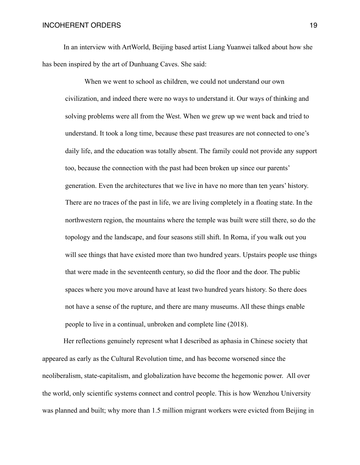In an interview with ArtWorld, Beijing based artist Liang Yuanwei talked about how she has been inspired by the art of Dunhuang Caves. She said:

 When we went to school as children, we could not understand our own civilization, and indeed there were no ways to understand it. Our ways of thinking and solving problems were all from the West. When we grew up we went back and tried to understand. It took a long time, because these past treasures are not connected to one's daily life, and the education was totally absent. The family could not provide any support too, because the connection with the past had been broken up since our parents' generation. Even the architectures that we live in have no more than ten years' history. There are no traces of the past in life, we are living completely in a floating state. In the northwestern region, the mountains where the temple was built were still there, so do the topology and the landscape, and four seasons still shift. In Roma, if you walk out you will see things that have existed more than two hundred years. Upstairs people use things that were made in the seventeenth century, so did the floor and the door. The public spaces where you move around have at least two hundred years history. So there does not have a sense of the rupture, and there are many museums. All these things enable people to live in a continual, unbroken and complete line (2018).

 Her reflections genuinely represent what I described as aphasia in Chinese society that appeared as early as the Cultural Revolution time, and has become worsened since the neoliberalism, state-capitalism, and globalization have become the hegemonic power. All over the world, only scientific systems connect and control people. This is how Wenzhou University was planned and built; why more than 1.5 million migrant workers were evicted from Beijing in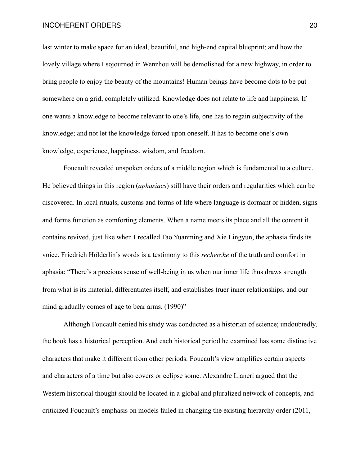last winter to make space for an ideal, beautiful, and high-end capital blueprint; and how the lovely village where I sojourned in Wenzhou will be demolished for a new highway, in order to bring people to enjoy the beauty of the mountains! Human beings have become dots to be put somewhere on a grid, completely utilized. Knowledge does not relate to life and happiness. If one wants a knowledge to become relevant to one's life, one has to regain subjectivity of the knowledge; and not let the knowledge forced upon oneself. It has to become one's own knowledge, experience, happiness, wisdom, and freedom.

 Foucault revealed unspoken orders of a middle region which is fundamental to a culture. He believed things in this region (*aphasiacs*) still have their orders and regularities which can be discovered. In local rituals, customs and forms of life where language is dormant or hidden, signs and forms function as comforting elements. When a name meets its place and all the content it contains revived, just like when I recalled Tao Yuanming and Xie Lingyun, the aphasia finds its voice. Friedrich Hölderlin's words is a testimony to this *recherche* of the truth and comfort in aphasia: "There's a precious sense of well-being in us when our inner life thus draws strength from what is its material, differentiates itself, and establishes truer inner relationships, and our mind gradually comes of age to bear arms. (1990)"

 Although Foucault denied his study was conducted as a historian of science; undoubtedly, the book has a historical perception. And each historical period he examined has some distinctive characters that make it different from other periods. Foucault's view amplifies certain aspects and characters of a time but also covers or eclipse some. Alexandre Lianeri argued that the Western historical thought should be located in a global and pluralized network of concepts, and criticized Foucault's emphasis on models failed in changing the existing hierarchy order (2011,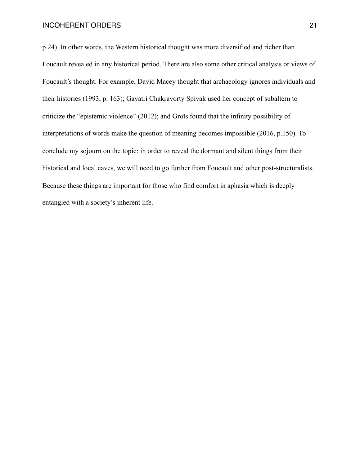p.24). In other words, the Western historical thought was more diversified and richer than Foucault revealed in any historical period. There are also some other critical analysis or views of Foucault's thought. For example, David Macey thought that archaeology ignores individuals and their histories (1993, p. 163); Gayatri Chakravorty Spivak used her concept of subaltern to criticize the "epistemic violence" (2012); and Groĭs found that the infinity possibility of interpretations of words make the question of meaning becomes impossible (2016, p.150). To conclude my sojourn on the topic: in order to reveal the dormant and silent things from their historical and local caves, we will need to go further from Foucault and other post-structuralists. Because these things are important for those who find comfort in aphasia which is deeply entangled with a society's inherent life.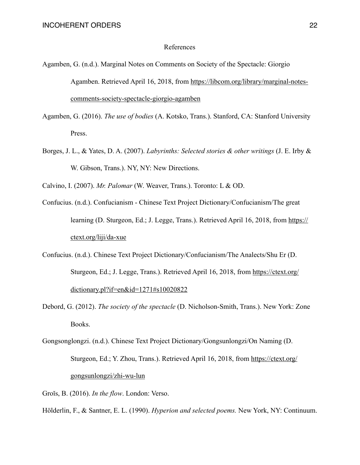### References

- Agamben, G. (n.d.). Marginal Notes on Comments on Society of the Spectacle: Giorgio [Agamben. Retrieved April 16, 2018, from https://libcom.org/library/marginal-notes](https://libcom.org/library/marginal-notes-comments-society-spectacle-giorgio-agamben)comments-society-spectacle-giorgio-agamben
- Agamben, G. (2016). *The use of bodies* (A. Kotsko, Trans.). Stanford, CA: Stanford University Press.
- Borges, J. L., & Yates, D. A. (2007). *Labyrinths: Selected stories & other writings* (J. E. Irby & W. Gibson, Trans.). NY, NY: New Directions.

Calvino, I. (2007). *Mr. Palomar* (W. Weaver, Trans.). Toronto: L & OD.

- Confucius. (n.d.). Confucianism Chinese Text Project Dictionary/Confucianism/The great [learning \(D. Sturgeon, Ed.; J. Legge, Trans.\). Retrieved April 16, 2018, from https://](https://ctext.org/liji/da-xue) ctext.org/liji/da-xue
- Confucius. (n.d.). Chinese Text Project Dictionary/Confucianism/The Analects/Shu Er (D. [Sturgeon, Ed.; J. Legge, Trans.\). Retrieved April 16, 2018, from https://ctext.org/](https://ctext.org/dictionary.pl?if=en&id=1271#s10020822) dictionary.pl?if=en&id=1271#s10020822
- Debord, G. (2012). *The society of the spectacle* (D. Nicholson-Smith, Trans.). New York: Zone Books.
- Gongsonglongzi. (n.d.). Chinese Text Project Dictionary/Gongsunlongzi/On Naming (D. [Sturgeon, Ed.; Y. Zhou, Trans.\). Retrieved April 16, 2018, from https://ctext.org/](https://ctext.org/gongsunlongzi/zhi-wu-lun) gongsunlongzi/zhi-wu-lun
- Groĭs, B. (2016). *In the flow*. London: Verso.
- Hölderlin, F., & Santner, E. L. (1990). *Hyperion and selected poems.* New York, NY: Continuum.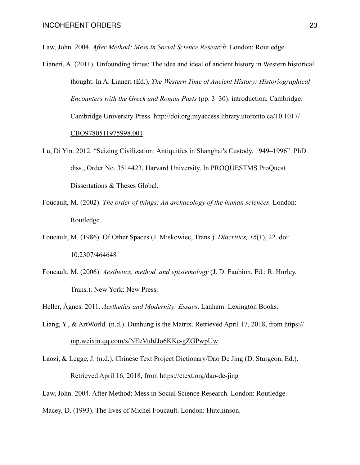Law, John. 2004. *After Method: Mess in Social Science Research*. London: Routledge

- Lianeri, A. (2011). Unfounding times: The idea and ideal of ancient history in Western historical thought. In A. Lianeri (Ed.), *The Western Time of Ancient History: Historiographical Encounters with the Greek and Roman Pasts* (pp. 3–30). introduction, Cambridge: [Cambridge University Press. http://doi.org.myaccess.library.utoronto.ca/10.1017/](http://doi.org.myaccess.library.utoronto.ca/10.1017/CBO9780511975998.001) CBO9780511975998.001
- Lu, Di Yin. 2012. "Seizing Civilization: Antiquities in Shanghai's Custody, 1949–1996". PhD. diss., Order No. 3514423, Harvard University. In PROQUESTMS ProQuest Dissertations & Theses Global.
- Foucault, M. (2002). *The order of things: An archaeology of the human sciences*. London: Routledge.
- Foucault, M. (1986). Of Other Spaces (J. Miskowiec, Trans.). *Diacritics, 16*(1), 22. doi: 10.2307/464648
- Foucault, M. (2006). *Aesthetics, method, and epistemology* (J. D. Faubion, Ed.; R. Hurley, Trans.). New York: New Press.

Heller, Ágnes. 2011. *Aesthetics and Modernity: Essays*. Lanham: Lexington Books.

- Liang, Y., [& ArtWorld. \(n.d.\). Dunhung is the Matrix. Retrieved April 17, 2018, from https://](https://mp.weixin.qq.com/s/NEeVubJJo6KKe-gZGPwpUw) mp.weixin.qq.com/s/NEeVubJJo6KKe-gZGPwpUw
- Laozi, & Legge, J. (n.d.). Chinese Text Project Dictionary/Dao De Jing (D. Sturgeon, Ed.). Retrieved April 16, 2018, from <https://ctext.org/dao-de-jing>

Law, John. 2004. After Method: Mess in Social Science Research. London: Routledge.

Macey, D. (1993). The lives of Michel Foucault. London: Hutchinson.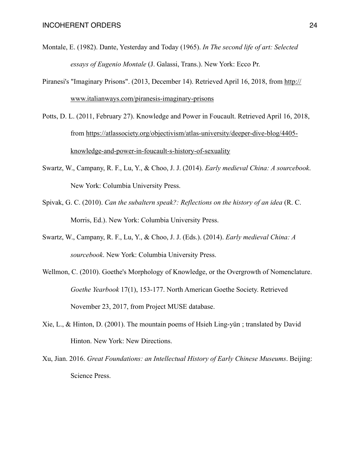- Montale, E. (1982). Dante, Yesterday and Today (1965). *In The second life of art: Selected essays of Eugenio Montale* (J. Galassi, Trans.). New York: Ecco Pr.
- Piranesi's ["Imaginary Prisons". \(2013, December 14\). Retrieved April 16, 2018, from http://](http://www.italianways.com/piranesis-imaginary-prisons) www.italianways.com/piranesis-imaginary-prisons
- Potts, D. L. (2011, February 27). Knowledge and Power in Foucault. Retrieved April 16, 2018, [from https://atlassociety.org/objectivism/atlas-university/deeper-dive-blog/4405](https://atlassociety.org/objectivism/atlas-university/deeper-dive-blog/4405-knowledge-and-power-in-foucault-s-history-of-sexuality) knowledge-and-power-in-foucault-s-history-of-sexuality
- Swartz, W., Campany, R. F., Lu, Y., & Choo, J. J. (2014). *Early medieval China: A sourcebook*. New York: Columbia University Press.
- Spivak, G. C. (2010). *Can the subaltern speak?: Reflections on the history of an idea* (R. C. Morris, Ed.). New York: Columbia University Press.
- Swartz, W., Campany, R. F., Lu, Y., & Choo, J. J. (Eds.). (2014). *Early medieval China: A sourcebook*. New York: Columbia University Press.
- Wellmon, C. (2010). Goethe's Morphology of Knowledge, or the Overgrowth of Nomenclature. *Goethe Yearbook* 17(1), 153-177. North American Goethe Society. Retrieved November 23, 2017, from Project MUSE database.
- Xie, L., & Hinton, D. (2001). The mountain poems of Hsieh Ling-yün ; translated by David Hinton. New York: New Directions.
- Xu, Jian. 2016. *Great Foundations: an Intellectual History of Early Chinese Museums*. Beijing: Science Press.